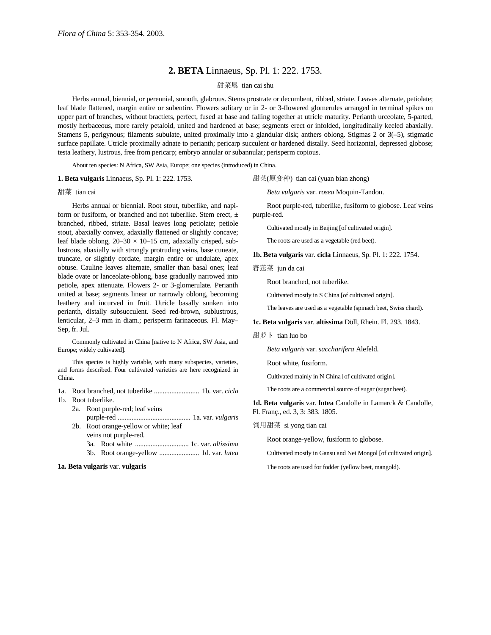# **2. BETA** Linnaeus, Sp. Pl. 1: 222. 1753.

## 甜菜属 tian cai shu

Herbs annual, biennial, or perennial, smooth, glabrous. Stems prostrate or decumbent, ribbed, striate. Leaves alternate, petiolate; leaf blade flattened, margin entire or subentire. Flowers solitary or in 2- or 3-flowered glomerules arranged in terminal spikes on upper part of branches, without bractlets, perfect, fused at base and falling together at utricle maturity. Perianth urceolate, 5-parted, mostly herbaceous, more rarely petaloid, united and hardened at base; segments erect or infolded, longitudinally keeled abaxially. Stamens 5, perigynous; filaments subulate, united proximally into a glandular disk; anthers oblong. Stigmas 2 or 3(–5), stigmatic surface papillate. Utricle proximally adnate to perianth; pericarp succulent or hardened distally. Seed horizontal, depressed globose; testa leathery, lustrous, free from pericarp; embryo annular or subannular; perisperm copious.

About ten species: N Africa, SW Asia, Europe; one species (introduced) in China.

### **1. Beta vulgaris** Linnaeus, Sp. Pl. 1: 222. 1753.

#### 甜菜 tian cai

Herbs annual or biennial. Root stout, tuberlike, and napiform or fusiform, or branched and not tuberlike. Stem erect,  $\pm$ branched, ribbed, striate. Basal leaves long petiolate; petiole stout, abaxially convex, adaxially flattened or slightly concave; leaf blade oblong,  $20-30 \times 10-15$  cm, adaxially crisped, sublustrous, abaxially with strongly protruding veins, base cuneate, truncate, or slightly cordate, margin entire or undulate, apex obtuse. Cauline leaves alternate, smaller than basal ones; leaf blade ovate or lanceolate-oblong, base gradually narrowed into petiole, apex attenuate. Flowers 2- or 3-glomerulate. Perianth united at base; segments linear or narrowly oblong, becoming leathery and incurved in fruit. Utricle basally sunken into perianth, distally subsucculent. Seed red-brown, sublustrous, lenticular, 2–3 mm in diam.; perisperm farinaceous. Fl. May– Sep, fr. Jul.

Commonly cultivated in China [native to N Africa, SW Asia, and Europe; widely cultivated].

This species is highly variable, with many subspecies, varieties, and forms described. Four cultivated varieties are here recognized in China.

1a. Root branched, not tuberlike .......................... 1b. var. *cicla* 1b. Root tuberlike.

2a. Root purple-red; leaf veins purple-red .......................................... 1a. var. *vulgaris*

- 2b. Root orange-yellow or white; leaf
	- veins not purple-red.
	- 3a. Root white ............................... 1c. var. *altissima*
	- 3b. Root orange-yellow ....................... 1d. var. *lutea*

#### **1a. Beta vulgaris** var. **vulgaris**

甜菜(原变种) tian cai (yuan bian zhong)

*Beta vulgaris* var. *rosea* Moquin-Tandon.

Root purple-red, tuberlike, fusiform to globose. Leaf veins purple-red.

Cultivated mostly in Beijing [of cultivated origin].

The roots are used as a vegetable (red beet).

**1b. Beta vulgaris** var. **cicla** Linnaeus, Sp. Pl. 1: 222. 1754.

莙荙菜 jun da cai

Root branched, not tuberlike.

Cultivated mostly in S China [of cultivated origin].

The leaves are used as a vegetable (spinach beet, Swiss chard).

**1c. Beta vulgaris** var. **altissima** Döll, Rhein. Fl. 293. 1843.

甜萝卜 tian luo bo

*Beta vulgaris* var. *saccharifera* Alefeld.

Root white, fusiform.

Cultivated mainly in N China [of cultivated origin].

The roots are a commercial source of sugar (sugar beet).

**1d. Beta vulgaris** var. **lutea** Candolle in Lamarck & Candolle, Fl. Franç., ed. 3, 3: 383. 1805.

#### 饲用甜菜 si yong tian cai

Root orange-yellow, fusiform to globose.

Cultivated mostly in Gansu and Nei Mongol [of cultivated origin].

The roots are used for fodder (yellow beet, mangold).